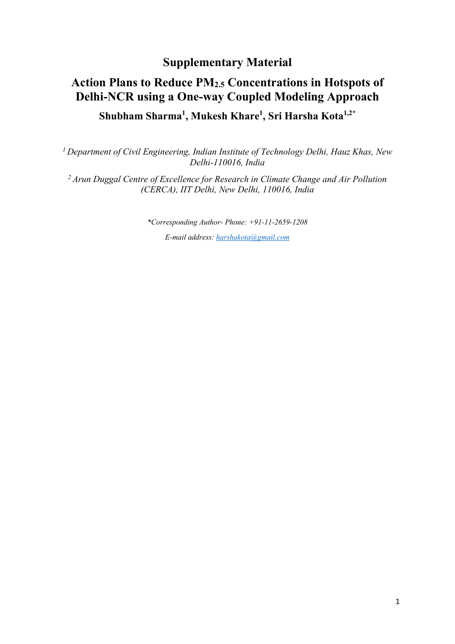## **Supplementary Material**

## **Action Plans to Reduce PM2.5 Concentrations in Hotspots of Delhi-NCR using a One-way Coupled Modeling Approach Shubham Sharma<sup>1</sup> , Mukesh Khare1 , Sri Harsha Kota1,2\***

*1 Department of Civil Engineering, Indian Institute of Technology Delhi, Hauz Khas, New Delhi-110016, India* 

*2 Arun Duggal Centre of Excellence for Research in Climate Change and Air Pollution (CERCA), IIT Delhi, New Delhi, 110016, India* 

*\*Corresponding Author- Phone: +91-11-2659-1208*

*E-mail address: [harshakota@gmail.com](mailto:harshakota@gmail.com)*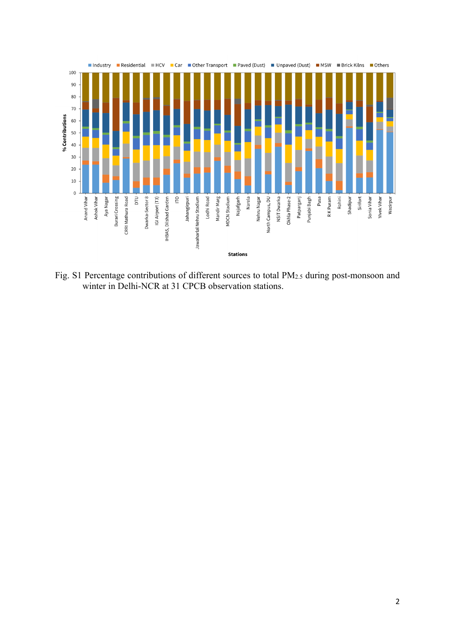

Fig. S1 Percentage contributions of different sources to total PM2.5 during post-monsoon and winter in Delhi-NCR at 31 CPCB observation stations.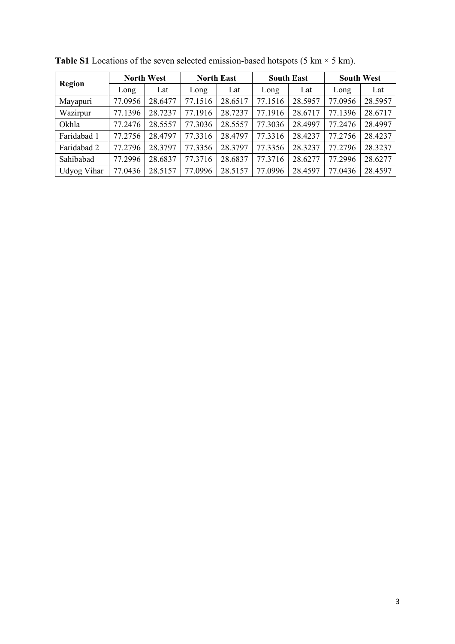| <b>Region</b>      | <b>North West</b> |         | <b>North East</b> |         | <b>South East</b> |         | <b>South West</b> |         |
|--------------------|-------------------|---------|-------------------|---------|-------------------|---------|-------------------|---------|
|                    | Long              | Lat     | Long              | Lat     | Long              | Lat     | Long              | Lat     |
| Mayapuri           | 77.0956           | 28.6477 | 77.1516           | 28.6517 | 77.1516           | 28.5957 | 77.0956           | 28.5957 |
| Wazirpur           | 77.1396           | 28.7237 | 77.1916           | 28.7237 | 77.1916           | 28.6717 | 77.1396           | 28.6717 |
| Okhla              | 77.2476           | 28.5557 | 77.3036           | 28.5557 | 77.3036           | 28.4997 | 77.2476           | 28.4997 |
| Faridabad 1        | 77.2756           | 28.4797 | 77.3316           | 28.4797 | 77.3316           | 28.4237 | 77.2756           | 28.4237 |
| Faridabad 2        | 77.2796           | 28.3797 | 77.3356           | 28.3797 | 77.3356           | 28.3237 | 77.2796           | 28.3237 |
| Sahibabad          | 77.2996           | 28.6837 | 77.3716           | 28.6837 | 77.3716           | 28.6277 | 77.2996           | 28.6277 |
| <b>Udyog Vihar</b> | 77.0436           | 28.5157 | 77.0996           | 28.5157 | 77.0996           | 28.4597 | 77.0436           | 28.4597 |

**Table S1** Locations of the seven selected emission-based hotspots (5 km  $\times$  5 km).